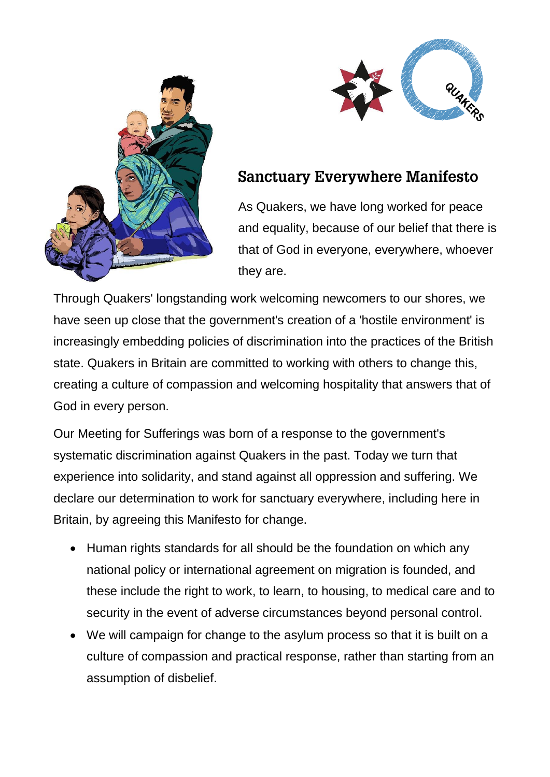



## **Sanctuary Everywhere Manifesto**

As Quakers, we have long worked for peace and equality, because of our belief that there is that of God in everyone, everywhere, whoever they are.

Through Quakers' longstanding work welcoming newcomers to our shores, we have seen up close that the government's creation of a 'hostile environment' is increasingly embedding policies of discrimination into the practices of the British state. Quakers in Britain are committed to working with others to change this, creating a culture of compassion and welcoming hospitality that answers that of God in every person.

Our Meeting for Sufferings was born of a response to the government's systematic discrimination against Quakers in the past. Today we turn that experience into solidarity, and stand against all oppression and suffering. We declare our determination to work for sanctuary everywhere, including here in Britain, by agreeing this Manifesto for change.

- Human rights standards for all should be the foundation on which any national policy or international agreement on migration is founded, and these include the right to work, to learn, to housing, to medical care and to security in the event of adverse circumstances beyond personal control.
- We will campaign for change to the asylum process so that it is built on a culture of compassion and practical response, rather than starting from an assumption of disbelief.